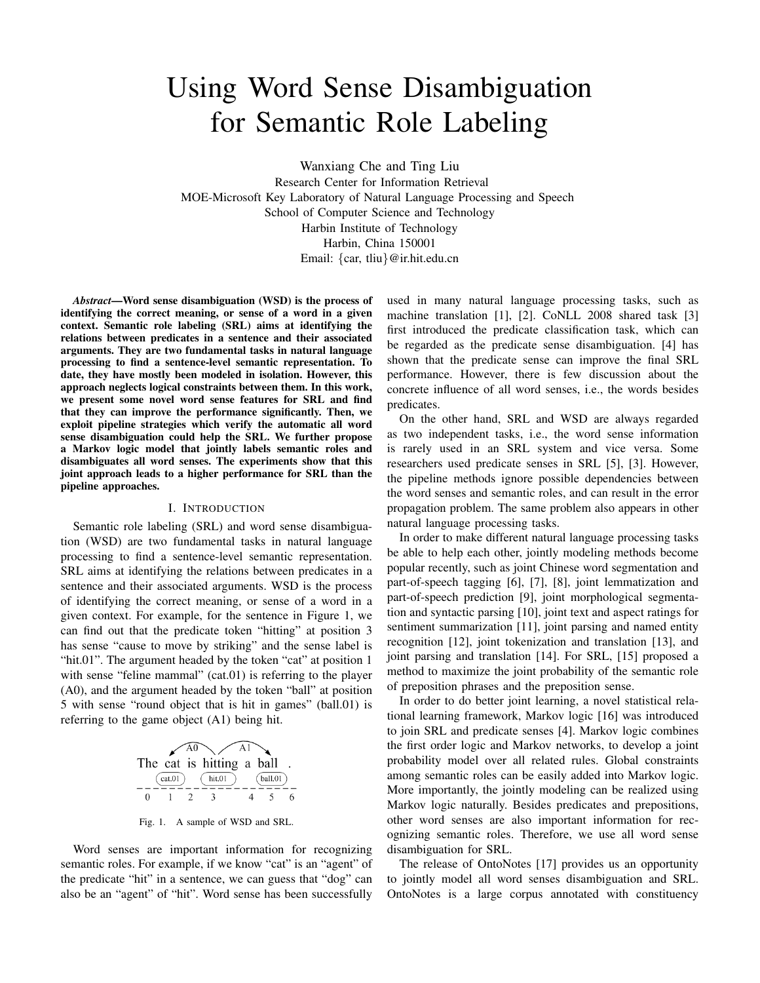# Using Word Sense Disambiguation for Semantic Role Labeling

Wanxiang Che and Ting Liu

Research Center for Information Retrieval MOE-Microsoft Key Laboratory of Natural Language Processing and Speech School of Computer Science and Technology Harbin Institute of Technology Harbin, China 150001 Email: {car, tliu}@ir.hit.edu.cn

*Abstract*—Word sense disambiguation (WSD) is the process of identifying the correct meaning, or sense of a word in a given context. Semantic role labeling (SRL) aims at identifying the relations between predicates in a sentence and their associated arguments. They are two fundamental tasks in natural language processing to find a sentence-level semantic representation. To date, they have mostly been modeled in isolation. However, this approach neglects logical constraints between them. In this work, we present some novel word sense features for SRL and find that they can improve the performance significantly. Then, we exploit pipeline strategies which verify the automatic all word sense disambiguation could help the SRL. We further propose a Markov logic model that jointly labels semantic roles and disambiguates all word senses. The experiments show that this joint approach leads to a higher performance for SRL than the pipeline approaches.

#### I. INTRODUCTION

Semantic role labeling (SRL) and word sense disambiguation (WSD) are two fundamental tasks in natural language processing to find a sentence-level semantic representation. SRL aims at identifying the relations between predicates in a sentence and their associated arguments. WSD is the process of identifying the correct meaning, or sense of a word in a given context. For example, for the sentence in Figure 1, we can find out that the predicate token "hitting" at position 3 has sense "cause to move by striking" and the sense label is "hit.01". The argument headed by the token "cat" at position 1 with sense "feline mammal" (cat.01) is referring to the player (A0), and the argument headed by the token "ball" at position 5 with sense "round object that is hit in games" (ball.01) is referring to the game object (A1) being hit.

|   | cat.01) | $A0 \searrow$<br>The cat is hitting a ball<br>hit.01 | Al | ball.01 |  |
|---|---------|------------------------------------------------------|----|---------|--|
| 0 |         |                                                      |    |         |  |

Fig. 1. A sample of WSD and SRL.

Word senses are important information for recognizing semantic roles. For example, if we know "cat" is an "agent" of the predicate "hit" in a sentence, we can guess that "dog" can also be an "agent" of "hit". Word sense has been successfully

used in many natural language processing tasks, such as machine translation [1], [2]. CoNLL 2008 shared task [3] first introduced the predicate classification task, which can be regarded as the predicate sense disambiguation. [4] has shown that the predicate sense can improve the final SRL performance. However, there is few discussion about the concrete influence of all word senses, i.e., the words besides predicates.

On the other hand, SRL and WSD are always regarded as two independent tasks, i.e., the word sense information is rarely used in an SRL system and vice versa. Some researchers used predicate senses in SRL [5], [3]. However, the pipeline methods ignore possible dependencies between the word senses and semantic roles, and can result in the error propagation problem. The same problem also appears in other natural language processing tasks.

In order to make different natural language processing tasks be able to help each other, jointly modeling methods become popular recently, such as joint Chinese word segmentation and part-of-speech tagging [6], [7], [8], joint lemmatization and part-of-speech prediction [9], joint morphological segmentation and syntactic parsing [10], joint text and aspect ratings for sentiment summarization [11], joint parsing and named entity recognition [12], joint tokenization and translation [13], and joint parsing and translation [14]. For SRL, [15] proposed a method to maximize the joint probability of the semantic role of preposition phrases and the preposition sense.

In order to do better joint learning, a novel statistical relational learning framework, Markov logic [16] was introduced to join SRL and predicate senses [4]. Markov logic combines the first order logic and Markov networks, to develop a joint probability model over all related rules. Global constraints among semantic roles can be easily added into Markov logic. More importantly, the jointly modeling can be realized using Markov logic naturally. Besides predicates and prepositions, other word senses are also important information for recognizing semantic roles. Therefore, we use all word sense disambiguation for SRL.

The release of OntoNotes [17] provides us an opportunity to jointly model all word senses disambiguation and SRL. OntoNotes is a large corpus annotated with constituency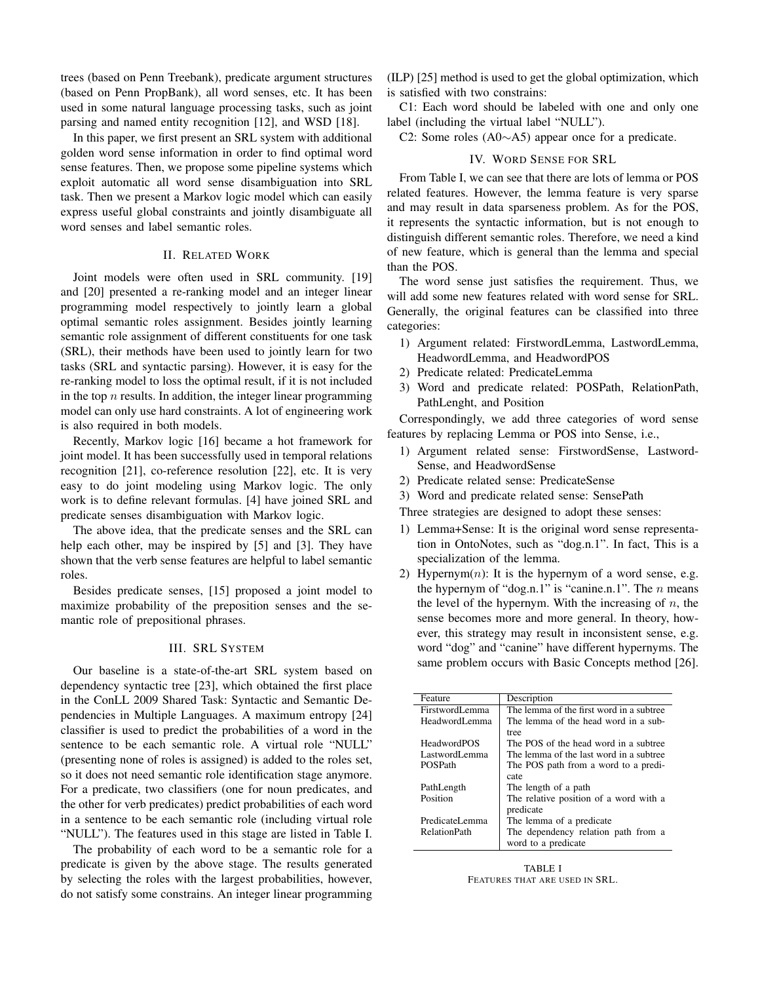trees (based on Penn Treebank), predicate argument structures (based on Penn PropBank), all word senses, etc. It has been used in some natural language processing tasks, such as joint parsing and named entity recognition [12], and WSD [18].

In this paper, we first present an SRL system with additional golden word sense information in order to find optimal word sense features. Then, we propose some pipeline systems which exploit automatic all word sense disambiguation into SRL task. Then we present a Markov logic model which can easily express useful global constraints and jointly disambiguate all word senses and label semantic roles.

## II. RELATED WORK

Joint models were often used in SRL community. [19] and [20] presented a re-ranking model and an integer linear programming model respectively to jointly learn a global optimal semantic roles assignment. Besides jointly learning semantic role assignment of different constituents for one task (SRL), their methods have been used to jointly learn for two tasks (SRL and syntactic parsing). However, it is easy for the re-ranking model to loss the optimal result, if it is not included in the top  $n$  results. In addition, the integer linear programming model can only use hard constraints. A lot of engineering work is also required in both models.

Recently, Markov logic [16] became a hot framework for joint model. It has been successfully used in temporal relations recognition [21], co-reference resolution [22], etc. It is very easy to do joint modeling using Markov logic. The only work is to define relevant formulas. [4] have joined SRL and predicate senses disambiguation with Markov logic.

The above idea, that the predicate senses and the SRL can help each other, may be inspired by [5] and [3]. They have shown that the verb sense features are helpful to label semantic roles.

Besides predicate senses, [15] proposed a joint model to maximize probability of the preposition senses and the semantic role of prepositional phrases.

## III. SRL SYSTEM

Our baseline is a state-of-the-art SRL system based on dependency syntactic tree [23], which obtained the first place in the ConLL 2009 Shared Task: Syntactic and Semantic Dependencies in Multiple Languages. A maximum entropy [24] classifier is used to predict the probabilities of a word in the sentence to be each semantic role. A virtual role "NULL" (presenting none of roles is assigned) is added to the roles set, so it does not need semantic role identification stage anymore. For a predicate, two classifiers (one for noun predicates, and the other for verb predicates) predict probabilities of each word in a sentence to be each semantic role (including virtual role "NULL"). The features used in this stage are listed in Table I.

The probability of each word to be a semantic role for a predicate is given by the above stage. The results generated by selecting the roles with the largest probabilities, however, do not satisfy some constrains. An integer linear programming

(ILP) [25] method is used to get the global optimization, which is satisfied with two constrains:

C1: Each word should be labeled with one and only one label (including the virtual label "NULL").

C2: Some roles (A0∼A5) appear once for a predicate.

# IV. WORD SENSE FOR SRL

From Table I, we can see that there are lots of lemma or POS related features. However, the lemma feature is very sparse and may result in data sparseness problem. As for the POS, it represents the syntactic information, but is not enough to distinguish different semantic roles. Therefore, we need a kind of new feature, which is general than the lemma and special than the POS.

The word sense just satisfies the requirement. Thus, we will add some new features related with word sense for SRL. Generally, the original features can be classified into three categories:

- 1) Argument related: FirstwordLemma, LastwordLemma, HeadwordLemma, and HeadwordPOS
- 2) Predicate related: PredicateLemma
- 3) Word and predicate related: POSPath, RelationPath, PathLenght, and Position

Correspondingly, we add three categories of word sense features by replacing Lemma or POS into Sense, i.e.,

- 1) Argument related sense: FirstwordSense, Lastword-Sense, and HeadwordSense
- 2) Predicate related sense: PredicateSense
- 3) Word and predicate related sense: SensePath

Three strategies are designed to adopt these senses:

- 1) Lemma+Sense: It is the original word sense representation in OntoNotes, such as "dog.n.1". In fact, This is a specialization of the lemma.
- 2) Hypernym $(n)$ : It is the hypernym of a word sense, e.g. the hypernym of "dog.n.1" is "canine.n.1". The  $n$  means the level of the hypernym. With the increasing of  $n$ , the sense becomes more and more general. In theory, however, this strategy may result in inconsistent sense, e.g. word "dog" and "canine" have different hypernyms. The same problem occurs with Basic Concepts method [26].

| Feature             | Description                              |
|---------------------|------------------------------------------|
| FirstwordLemma      | The lemma of the first word in a subtree |
| HeadwordI emma      | The lemma of the head word in a sub-     |
|                     | tree                                     |
| <b>HeadwordPOS</b>  | The POS of the head word in a subtree    |
| LastwordLemma       | The lemma of the last word in a subtree  |
| POSPath             | The POS path from a word to a predi-     |
|                     | cate                                     |
| PathLength          | The length of a path                     |
| Position            | The relative position of a word with a   |
|                     | predicate                                |
| PredicateLemma      | The lemma of a predicate                 |
| <b>RelationPath</b> | The dependency relation path from a      |
|                     | word to a predicate                      |
|                     |                                          |

TABLE I FEATURES THAT ARE USED IN SRL.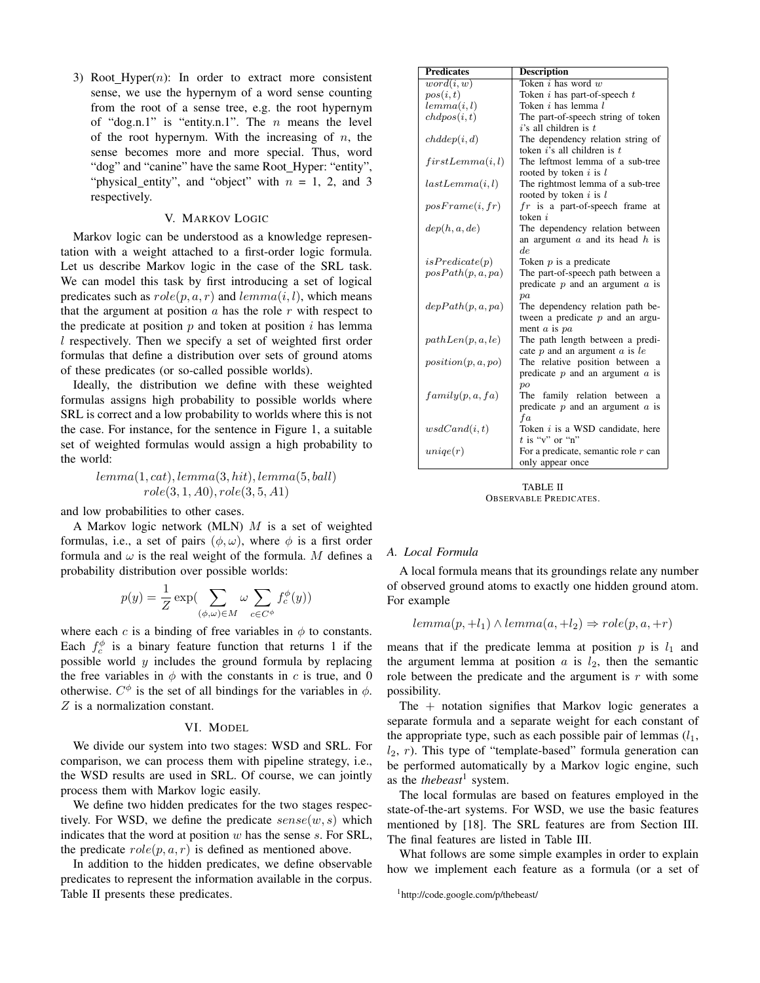3) Root Hyper $(n)$ : In order to extract more consistent sense, we use the hypernym of a word sense counting from the root of a sense tree, e.g. the root hypernym of "dog.n.1" is "entity.n.1". The  $n$  means the level of the root hypernym. With the increasing of  $n$ , the sense becomes more and more special. Thus, word "dog" and "canine" have the same Root\_Hyper: "entity", "physical\_entity", and "object" with  $n = 1, 2,$  and 3 respectively.

#### V. MARKOV LOGIC

Markov logic can be understood as a knowledge representation with a weight attached to a first-order logic formula. Let us describe Markov logic in the case of the SRL task. We can model this task by first introducing a set of logical predicates such as  $role(p, a, r)$  and  $lemma(i, l)$ , which means that the argument at position  $\alpha$  has the role  $r$  with respect to the predicate at position  $p$  and token at position  $i$  has lemma l respectively. Then we specify a set of weighted first order formulas that define a distribution over sets of ground atoms of these predicates (or so-called possible worlds).

Ideally, the distribution we define with these weighted formulas assigns high probability to possible worlds where SRL is correct and a low probability to worlds where this is not the case. For instance, for the sentence in Figure 1, a suitable set of weighted formulas would assign a high probability to the world:

> $lemma(1, cat), lemma(3, hit), lemma(5, ball)$  $role(3, 1, A0), role(3, 5, A1)$

and low probabilities to other cases.

A Markov logic network (MLN)  $M$  is a set of weighted formulas, i.e., a set of pairs  $(\phi, \omega)$ , where  $\phi$  is a first order formula and  $\omega$  is the real weight of the formula. M defines a probability distribution over possible worlds:

$$
p(y) = \frac{1}{Z} \exp\left(\sum_{(\phi,\omega)\in M} \omega \sum_{c\in C^{\phi}} f_c^{\phi}(y)\right)
$$

where each c is a binding of free variables in  $\phi$  to constants. Each  $f_c^{\phi}$  is a binary feature function that returns 1 if the possible world  $y$  includes the ground formula by replacing the free variables in  $\phi$  with the constants in c is true, and 0 otherwise.  $C^{\phi}$  is the set of all bindings for the variables in  $\phi$ . Z is a normalization constant.

#### VI. MODEL

We divide our system into two stages: WSD and SRL. For comparison, we can process them with pipeline strategy, i.e., the WSD results are used in SRL. Of course, we can jointly process them with Markov logic easily.

We define two hidden predicates for the two stages respectively. For WSD, we define the predicate  $sense(w, s)$  which indicates that the word at position  $w$  has the sense  $s$ . For SRL, the predicate  $role(p, a, r)$  is defined as mentioned above.

In addition to the hidden predicates, we define observable predicates to represent the information available in the corpus. Table II presents these predicates.

| <b>Predicates</b>  | <b>Description</b>                      |
|--------------------|-----------------------------------------|
| word(i, w)         | Token $i$ has word $w$                  |
| pos(i, t)          | Token $i$ has part-of-speech $t$        |
| lemma(i, l)        | Token $i$ has lemma $l$                 |
| chdpos(i, t)       | The part-of-speech string of token      |
|                    | $i$ 's all children is $t$              |
| chddep(i, d)       | The dependency relation string of       |
|                    | token $i$ 's all children is $t$        |
| first Lemma (i, l) | The leftmost lemma of a sub-tree        |
|                    | rooted by token $i$ is $l$              |
| lastLemma(i, l)    | The rightmost lemma of a sub-tree       |
|                    | rooted by token $i$ is $l$              |
| posFrame(i, fr)    | $fr$ is a part-of-speech frame<br>at    |
|                    | token $i$                               |
| dep(h, a, de)      | The dependency relation between         |
|                    | an argument $a$ and its head $h$ is     |
|                    | de                                      |
| isPredicte(p)      | Token $p$ is a predicate                |
| posPath(p, a, pa)  | The part-of-speech path between a       |
|                    | predicate $p$ and an argument $a$ is    |
|                    | pa                                      |
| depPath(p, a, pa)  | The dependency relation path be-        |
|                    | tween a predicate $p$ and an argu-      |
|                    | ment $a$ is $pa$                        |
| pathLen(p, a, le)  | The path length between a predi-        |
|                    | cate $p$ and an argument $a$ is le      |
| position(p, a, po) | The relative position between a         |
|                    | predicate $p$ and an argument $a$ is    |
|                    | po                                      |
| family(p, a, fa)   | family relation between a<br>The        |
|                    | predicate $p$ and an argument $a$ is    |
|                    | fa                                      |
| ws dCand(i, t)     | Token <i>i</i> is a WSD candidate, here |
|                    | $t$ is "v" or "n"                       |
| unique(r)          | For a predicate, semantic role $r$ can  |
|                    | only appear once                        |

TABLE II OBSERVABLE PREDICATES.

## *A. Local Formula*

A local formula means that its groundings relate any number of observed ground atoms to exactly one hidden ground atom. For example

 $lemma(p, +l_1) \wedge lemma(a, +l_2) \Rightarrow role(p, a, +r)$ 

means that if the predicate lemma at position  $p$  is  $l_1$  and the argument lemma at position  $a$  is  $l_2$ , then the semantic role between the predicate and the argument is  $r$  with some possibility.

The  $+$  notation signifies that Markov logic generates a separate formula and a separate weight for each constant of the appropriate type, such as each possible pair of lemmas  $(l_1,$  $l_2$ , r). This type of "template-based" formula generation can be performed automatically by a Markov logic engine, such as the *thebeast*<sup>1</sup> system.

The local formulas are based on features employed in the state-of-the-art systems. For WSD, we use the basic features mentioned by [18]. The SRL features are from Section III. The final features are listed in Table III.

What follows are some simple examples in order to explain how we implement each feature as a formula (or a set of

<sup>1</sup>http://code.google.com/p/thebeast/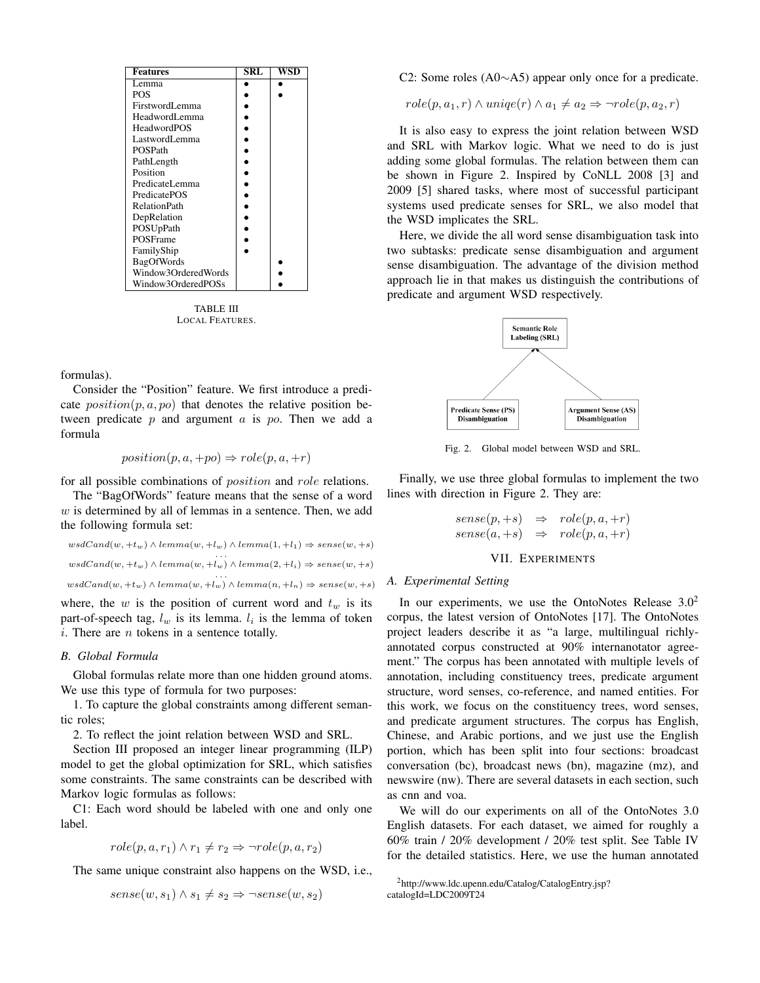| <b>Features</b>     | SRL | WSD |
|---------------------|-----|-----|
| Lemma               |     |     |
| <b>POS</b>          |     |     |
| FirstwordLemma      |     |     |
| HeadwordI emma      |     |     |
| <b>HeadwordPOS</b>  |     |     |
| LastwordLemma       |     |     |
| POSPath             |     |     |
| PathLength          |     |     |
| Position            |     |     |
| PredicateLemma      |     |     |
| PredicatePOS        |     |     |
| <b>RelationPath</b> |     |     |
| DepRelation         |     |     |
| POSUpPath           |     |     |
| POSFrame            |     |     |
| FamilyShip          |     |     |
| BagOfWords          |     |     |
| Window3OrderedWords |     |     |
| Window3OrderedPOSs  |     |     |

TABLE III LOCAL FEATURES.

formulas).

Consider the "Position" feature. We first introduce a predicate  $position(p, a, po)$  that denotes the relative position between predicate  $p$  and argument  $a$  is  $po$ . Then we add a formula

$$
position(p, a, +po) \Rightarrow role(p, a, +r)
$$

for all possible combinations of *position* and *role* relations.

The "BagOfWords" feature means that the sense of a word  $w$  is determined by all of lemmas in a sentence. Then, we add the following formula set:

```
wsdCand(w, +t_w) \wedge lemma(w, +l_w) \wedge lemma(1, +l_1) \Rightarrow sense(w, +s)wsdCand(w, +t_w) \wedge lemma(w, +l_w) \wedge lemma(2, +l_i) \Rightarrow sense(w, +s)wsdCand(w, +t_w) \wedge lemma(w, +l_w) \wedge lemma(n, +l_n) \Rightarrow sense(w, +s)
```
where, the  $w$  is the position of current word and  $t_w$  is its part-of-speech tag,  $l_w$  is its lemma.  $l_i$  is the lemma of token  $i.$  There are  $n$  tokens in a sentence totally.

## *B. Global Formula*

Global formulas relate more than one hidden ground atoms. We use this type of formula for two purposes:

1. To capture the global constraints among different semantic roles;

2. To reflect the joint relation between WSD and SRL.

Section III proposed an integer linear programming (ILP) model to get the global optimization for SRL, which satisfies some constraints. The same constraints can be described with Markov logic formulas as follows:

C1: Each word should be labeled with one and only one label.

$$
role(p, a, r_1) \land r_1 \neq r_2 \Rightarrow \neg role(p, a, r_2)
$$

The same unique constraint also happens on the WSD, i.e.,

$$
sense(w, s_1) \land s_1 \neq s_2 \Rightarrow \neg sense(w, s_2)
$$

C2: Some roles (A0∼A5) appear only once for a predicate.

$$
role(p, a_1, r) \land unique(r) \land a_1 \neq a_2 \Rightarrow \neg role(p, a_2, r)
$$

It is also easy to express the joint relation between WSD and SRL with Markov logic. What we need to do is just adding some global formulas. The relation between them can be shown in Figure 2. Inspired by CoNLL 2008 [3] and 2009 [5] shared tasks, where most of successful participant systems used predicate senses for SRL, we also model that the WSD implicates the SRL.

Here, we divide the all word sense disambiguation task into two subtasks: predicate sense disambiguation and argument sense disambiguation. The advantage of the division method approach lie in that makes us distinguish the contributions of predicate and argument WSD respectively.



Fig. 2. Global model between WSD and SRL.

Finally, we use three global formulas to implement the two lines with direction in Figure 2. They are:

> $sense(p, +s) \Rightarrow role(p, a, +r)$  $sense(a, +s) \Rightarrow role(p, a, +r)$

## VII. EXPERIMENTS

## *A. Experimental Setting*

In our experiments, we use the OntoNotes Release  $3.0<sup>2</sup>$ corpus, the latest version of OntoNotes [17]. The OntoNotes project leaders describe it as "a large, multilingual richlyannotated corpus constructed at 90% internanotator agreement." The corpus has been annotated with multiple levels of annotation, including constituency trees, predicate argument structure, word senses, co-reference, and named entities. For this work, we focus on the constituency trees, word senses, and predicate argument structures. The corpus has English, Chinese, and Arabic portions, and we just use the English portion, which has been split into four sections: broadcast conversation (bc), broadcast news (bn), magazine (mz), and newswire (nw). There are several datasets in each section, such as cnn and voa.

We will do our experiments on all of the OntoNotes 3.0 English datasets. For each dataset, we aimed for roughly a 60% train / 20% development / 20% test split. See Table IV for the detailed statistics. Here, we use the human annotated

<sup>2</sup>http://www.ldc.upenn.edu/Catalog/CatalogEntry.jsp? catalogId=LDC2009T24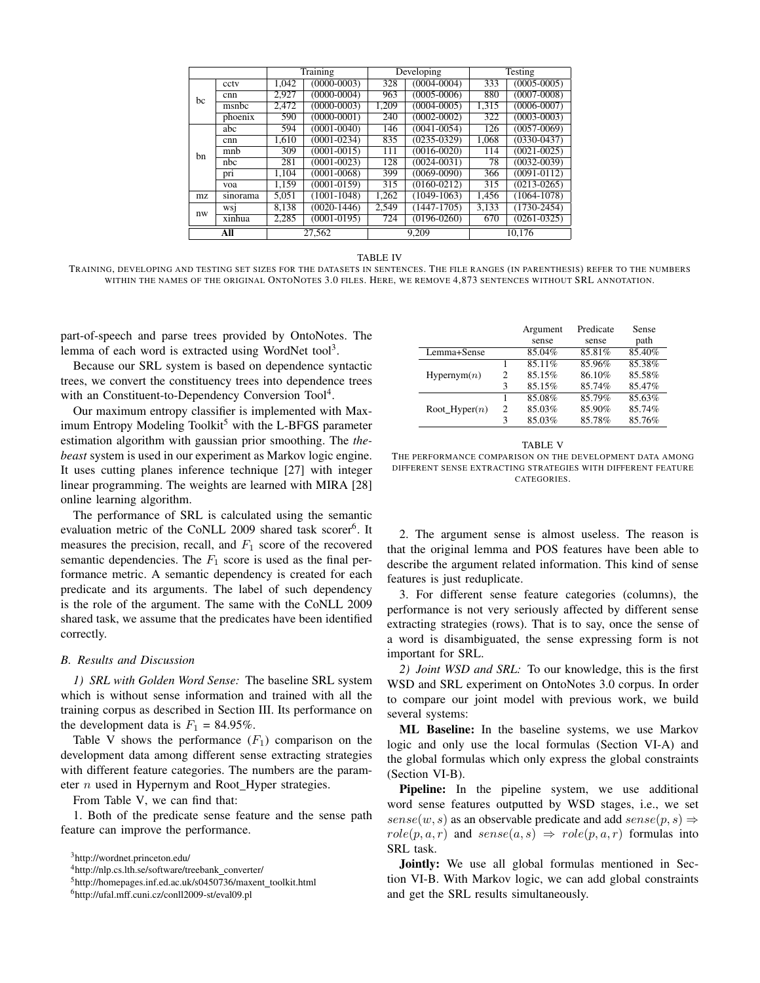|     |          | Training |                 | Developing |                 | Testing |                 |
|-----|----------|----------|-----------------|------------|-----------------|---------|-----------------|
|     | cctv     | 1.042    | $(0000 - 0003)$ | 328        | $(0004 - 0004)$ | 333     | $(0005 - 0005)$ |
| bc  | cnn      | 2.927    | $(0000-0004)$   | 963        | $(0005 - 0006)$ | 880     | $(0007 - 0008)$ |
|     | msnbc    | 2.472    | $(0000 - 0003)$ | 1,209      | $(0004 - 0005)$ | 1,315   | $(0006 - 0007)$ |
|     | phoenix  | 590      | $(0000 - 0001)$ | 240        | $(0002 - 0002)$ | 322     | $(0003 - 0003)$ |
|     | abc      | 594      | $(0001 - 0040)$ | 146        | $(0041 - 0054)$ | 126     | $(0057 - 0069)$ |
| hn  | cnn      | 1.610    | $(0001 - 0234)$ | 835        | $(0235 - 0329)$ | 1,068   | $(0330 - 0437)$ |
|     | mnh      | 309      | $(0001 - 0015)$ | 111        | $(0016 - 0020)$ | 114     | $(0021 - 0025)$ |
|     | nbc      | 281      | $(0001 - 0023)$ | 128        | $(0024 - 0031)$ | 78      | $(0032 - 0039)$ |
|     | pri      | 1.104    | $(0001 - 0068)$ | 399        | $(0069 - 0090)$ | 366     | $(0091 - 0112)$ |
|     | voa      | 1.159    | $(0001 - 0159)$ | 315        | $(0160 - 0212)$ | 315     | $(0213 - 0265)$ |
| mz. | sinorama | 5.051    | $(1001 - 1048)$ | 1.262      | $(1049-1063)$   | 1.456   | $(1064-1078)$   |
| nw  | WS1      | 8.138    | $(0020 - 1446)$ | 2.549      | $(1447-1705)$   | 3.133   | $(1730 - 2454)$ |
|     | xinhua   | 2.285    | $(0001 - 0195)$ | 724        | $(0196 - 0260)$ | 670     | $(0261 - 0325)$ |
|     | All      |          | 27.562          |            | 9.209           |         | 10.176          |

TABLE IV

TRAINING, DEVELOPING AND TESTING SET SIZES FOR THE DATASETS IN SENTENCES. THE FILE RANGES (IN PARENTHESIS) REFER TO THE NUMBERS WITHIN THE NAMES OF THE ORIGINAL ONTONOTES 3.0 FILES. HERE, WE REMOVE 4,873 SENTENCES WITHOUT SRL ANNOTATION.

part-of-speech and parse trees provided by OntoNotes. The lemma of each word is extracted using WordNet tool<sup>3</sup>.

Because our SRL system is based on dependence syntactic trees, we convert the constituency trees into dependence trees with an Constituent-to-Dependency Conversion Tool<sup>4</sup>.

Our maximum entropy classifier is implemented with Maximum Entropy Modeling Toolkit<sup>5</sup> with the L-BFGS parameter estimation algorithm with gaussian prior smoothing. The *thebeast* system is used in our experiment as Markov logic engine. It uses cutting planes inference technique [27] with integer linear programming. The weights are learned with MIRA [28] online learning algorithm.

The performance of SRL is calculated using the semantic evaluation metric of the CoNLL 2009 shared task scorer<sup>6</sup>. It measures the precision, recall, and  $F_1$  score of the recovered semantic dependencies. The  $F_1$  score is used as the final performance metric. A semantic dependency is created for each predicate and its arguments. The label of such dependency is the role of the argument. The same with the CoNLL 2009 shared task, we assume that the predicates have been identified correctly.

## *B. Results and Discussion*

*1) SRL with Golden Word Sense:* The baseline SRL system which is without sense information and trained with all the training corpus as described in Section III. Its performance on the development data is  $F_1 = 84.95\%$ .

Table V shows the performance  $(F_1)$  comparison on the development data among different sense extracting strategies with different feature categories. The numbers are the parameter  $n$  used in Hypernym and Root\_Hyper strategies.

From Table V, we can find that:

1. Both of the predicate sense feature and the sense path feature can improve the performance.

|                  |   | Argument | Predicate | Sense  |
|------------------|---|----------|-----------|--------|
|                  |   | sense    | sense     | path   |
| Lemma+Sense      |   | 85.04%   | 85.81%    | 85.40% |
|                  |   | 85.11%   | 85.96%    | 85.38% |
| Hypernym(n)      | 2 | 85.15%   | 86.10%    | 85.58% |
|                  | 3 | 85.15%   | 85.74%    | 85.47% |
|                  |   | 85.08%   | 85.79%    | 85.63% |
| Root Hyper $(n)$ | 2 | 85.03%   | 85.90%    | 85.74% |
|                  | 3 | 85.03%   | 85.78%    | 85.76% |

TABLE V

THE PERFORMANCE COMPARISON ON THE DEVELOPMENT DATA AMONG DIFFERENT SENSE EXTRACTING STRATEGIES WITH DIFFERENT FEATURE CATEGORIES.

2. The argument sense is almost useless. The reason is that the original lemma and POS features have been able to describe the argument related information. This kind of sense features is just reduplicate.

3. For different sense feature categories (columns), the performance is not very seriously affected by different sense extracting strategies (rows). That is to say, once the sense of a word is disambiguated, the sense expressing form is not important for SRL.

*2) Joint WSD and SRL:* To our knowledge, this is the first WSD and SRL experiment on OntoNotes 3.0 corpus. In order to compare our joint model with previous work, we build several systems:

ML Baseline: In the baseline systems, we use Markov logic and only use the local formulas (Section VI-A) and the global formulas which only express the global constraints (Section VI-B).

**Pipeline:** In the pipeline system, we use additional word sense features outputted by WSD stages, i.e., we set  $sense(w, s)$  as an observable predicate and add  $sense(p, s) \Rightarrow$  $role(p, a, r)$  and  $sense(a, s) \Rightarrow role(p, a, r)$  formulas into SRL task.

Jointly: We use all global formulas mentioned in Section VI-B. With Markov logic, we can add global constraints and get the SRL results simultaneously.

<sup>3</sup>http://wordnet.princeton.edu/

<sup>&</sup>lt;sup>4</sup>http://nlp.cs.lth.se/software/treebank\_converter/

<sup>5</sup>http://homepages.inf.ed.ac.uk/s0450736/maxent\_toolkit.html

<sup>6</sup>http://ufal.mff.cuni.cz/conll2009-st/eval09.pl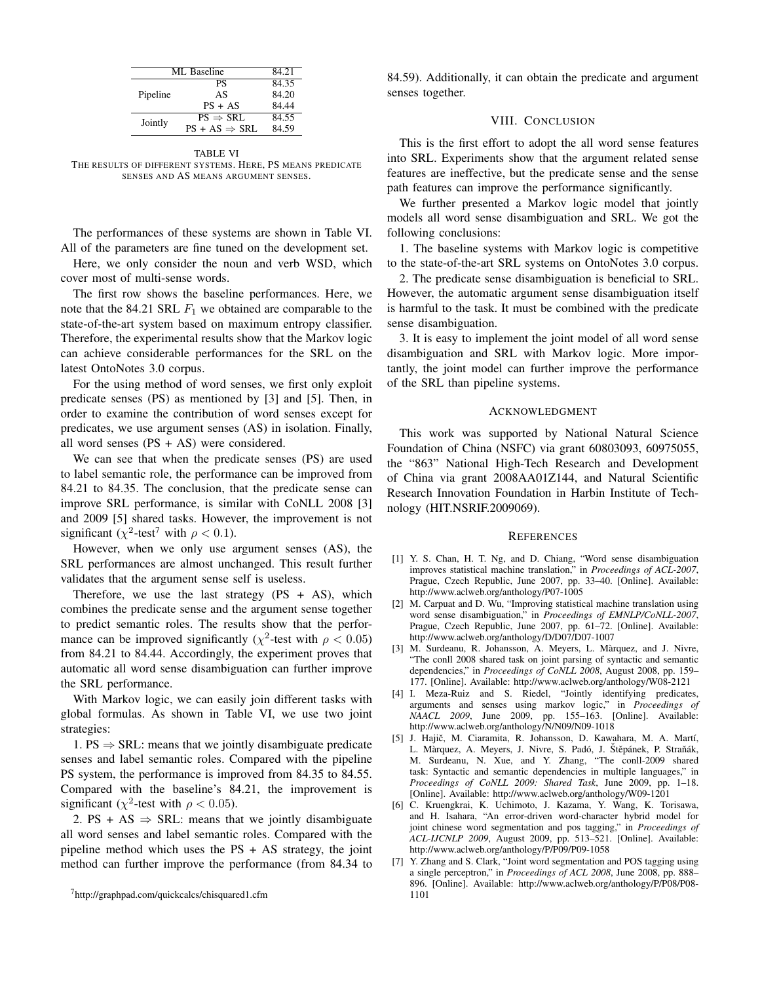| ML Baseline |                           | 84.21 |
|-------------|---------------------------|-------|
|             | PS                        | 84.35 |
| Pipeline    | AS                        | 84.20 |
|             | $PS + AS$                 | 84.44 |
| Jointly     | $PS \Rightarrow SRL$      | 84.55 |
|             | $PS + AS \Rightarrow SRL$ | 84.59 |

TABLE VI THE RESULTS OF DIFFERENT SYSTEMS. HERE, PS MEANS PREDICATE SENSES AND AS MEANS ARGUMENT SENSES.

The performances of these systems are shown in Table VI. All of the parameters are fine tuned on the development set.

Here, we only consider the noun and verb WSD, which cover most of multi-sense words.

The first row shows the baseline performances. Here, we note that the 84.21 SRL  $F_1$  we obtained are comparable to the state-of-the-art system based on maximum entropy classifier. Therefore, the experimental results show that the Markov logic can achieve considerable performances for the SRL on the latest OntoNotes 3.0 corpus.

For the using method of word senses, we first only exploit predicate senses (PS) as mentioned by [3] and [5]. Then, in order to examine the contribution of word senses except for predicates, we use argument senses (AS) in isolation. Finally, all word senses  $(PS + AS)$  were considered.

We can see that when the predicate senses (PS) are used to label semantic role, the performance can be improved from 84.21 to 84.35. The conclusion, that the predicate sense can improve SRL performance, is similar with CoNLL 2008 [3] and 2009 [5] shared tasks. However, the improvement is not significant ( $\chi^2$ -test<sup>7</sup> with  $\rho < 0.1$ ).

However, when we only use argument senses (AS), the SRL performances are almost unchanged. This result further validates that the argument sense self is useless.

Therefore, we use the last strategy  $(PS + AS)$ , which combines the predicate sense and the argument sense together to predict semantic roles. The results show that the performance can be improved significantly ( $\chi^2$ -test with  $\rho < 0.05$ ) from 84.21 to 84.44. Accordingly, the experiment proves that automatic all word sense disambiguation can further improve the SRL performance.

With Markov logic, we can easily join different tasks with global formulas. As shown in Table VI, we use two joint strategies:

1. PS  $\Rightarrow$  SRL: means that we jointly disambiguate predicate senses and label semantic roles. Compared with the pipeline PS system, the performance is improved from 84.35 to 84.55. Compared with the baseline's 84.21, the improvement is significant ( $\chi^2$ -test with  $\rho < 0.05$ ).

2. PS + AS  $\Rightarrow$  SRL: means that we jointly disambiguate all word senses and label semantic roles. Compared with the pipeline method which uses the  $PS + AS$  strategy, the joint method can further improve the performance (from 84.34 to 84.59). Additionally, it can obtain the predicate and argument senses together.

## VIII. CONCLUSION

This is the first effort to adopt the all word sense features into SRL. Experiments show that the argument related sense features are ineffective, but the predicate sense and the sense path features can improve the performance significantly.

We further presented a Markov logic model that jointly models all word sense disambiguation and SRL. We got the following conclusions:

1. The baseline systems with Markov logic is competitive to the state-of-the-art SRL systems on OntoNotes 3.0 corpus.

2. The predicate sense disambiguation is beneficial to SRL. However, the automatic argument sense disambiguation itself is harmful to the task. It must be combined with the predicate sense disambiguation.

3. It is easy to implement the joint model of all word sense disambiguation and SRL with Markov logic. More importantly, the joint model can further improve the performance of the SRL than pipeline systems.

## ACKNOWLEDGMENT

This work was supported by National Natural Science Foundation of China (NSFC) via grant 60803093, 60975055, the "863" National High-Tech Research and Development of China via grant 2008AA01Z144, and Natural Scientific Research Innovation Foundation in Harbin Institute of Technology (HIT.NSRIF.2009069).

#### **REFERENCES**

- [1] Y. S. Chan, H. T. Ng, and D. Chiang, "Word sense disambiguation improves statistical machine translation," in *Proceedings of ACL-2007*, Prague, Czech Republic, June 2007, pp. 33–40. [Online]. Available: http://www.aclweb.org/anthology/P07-1005
- [2] M. Carpuat and D. Wu, "Improving statistical machine translation using word sense disambiguation," in *Proceedings of EMNLP/CoNLL-2007*, Prague, Czech Republic, June 2007, pp. 61–72. [Online]. Available: http://www.aclweb.org/anthology/D/D07/D07-1007
- [3] M. Surdeanu, R. Johansson, A. Meyers, L. Màrquez, and J. Nivre, "The conll 2008 shared task on joint parsing of syntactic and semantic dependencies," in *Proceedings of CoNLL 2008*, August 2008, pp. 159– 177. [Online]. Available: http://www.aclweb.org/anthology/W08-2121
- [4] I. Meza-Ruiz and S. Riedel, "Jointly identifying predicates, arguments and senses using markov logic," in *Proceedings of NAACL 2009*, June 2009, pp. 155–163. [Online]. Available: http://www.aclweb.org/anthology/N/N09/N09-1018
- [5] J. Hajič, M. Ciaramita, R. Johansson, D. Kawahara, M. A. Martí, L. Màrquez, A. Meyers, J. Nivre, S. Padó, J. Štěpánek, P. Straňák, M. Surdeanu, N. Xue, and Y. Zhang, "The conll-2009 shared task: Syntactic and semantic dependencies in multiple languages," in *Proceedings of CoNLL 2009: Shared Task*, June 2009, pp. 1–18. [Online]. Available: http://www.aclweb.org/anthology/W09-1201
- [6] C. Kruengkrai, K. Uchimoto, J. Kazama, Y. Wang, K. Torisawa, and H. Isahara, "An error-driven word-character hybrid model for joint chinese word segmentation and pos tagging," in *Proceedings of ACL-IJCNLP 2009*, August 2009, pp. 513–521. [Online]. Available: http://www.aclweb.org/anthology/P/P09/P09-1058
- [7] Y. Zhang and S. Clark, "Joint word segmentation and POS tagging using a single perceptron," in *Proceedings of ACL 2008*, June 2008, pp. 888– 896. [Online]. Available: http://www.aclweb.org/anthology/P/P08/P08- 1101

<sup>7</sup>http://graphpad.com/quickcalcs/chisquared1.cfm